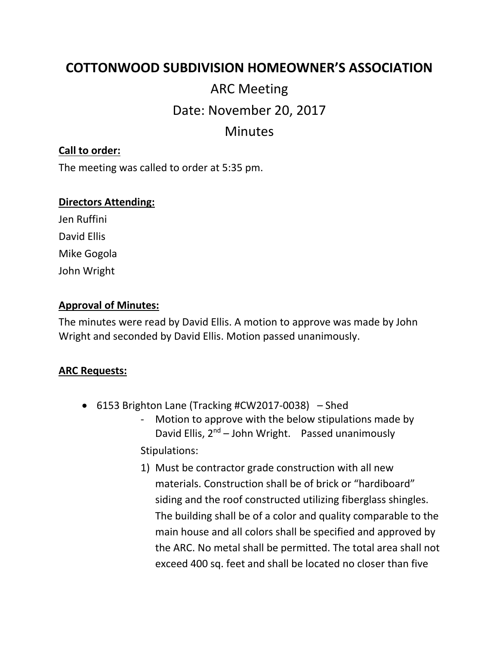## **COTTONWOOD SUBDIVISION HOMEOWNER'S ASSOCIATION**

# ARC Meeting Date: November 20, 2017

### Minutes

#### **Call to order:**

The meeting was called to order at 5:35 pm.

#### **Directors Attending:**

Jen Ruffini David Ellis Mike Gogola John Wright

#### **Approval of Minutes:**

The minutes were read by David Ellis. A motion to approve was made by John Wright and seconded by David Ellis. Motion passed unanimously.

#### **ARC Requests:**

- 6153 Brighton Lane (Tracking #CW2017-0038) Shed
	- Motion to approve with the below stipulations made by David Ellis,  $2^{nd}$  – John Wright. Passed unanimously Stipulations:
	- 1) Must be contractor grade construction with all new materials. Construction shall be of brick or "hardiboard" siding and the roof constructed utilizing fiberglass shingles. The building shall be of a color and quality comparable to the main house and all colors shall be specified and approved by the ARC. No metal shall be permitted. The total area shall not exceed 400 sq. feet and shall be located no closer than five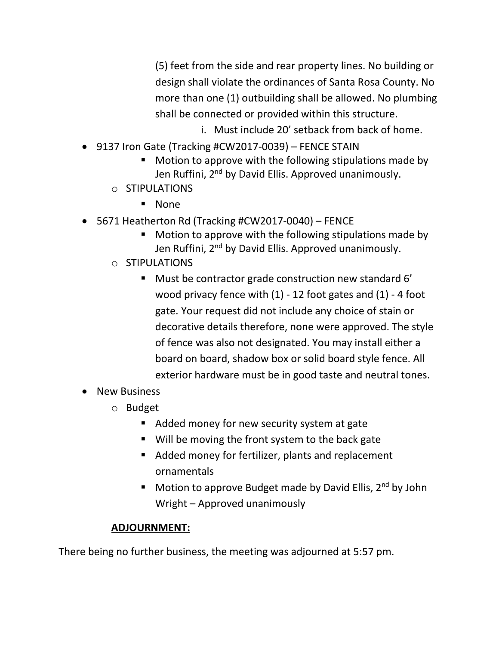(5) feet from the side and rear property lines. No building or design shall violate the ordinances of Santa Rosa County. No more than one (1) outbuilding shall be allowed. No plumbing shall be connected or provided within this structure.

- i. Must include 20' setback from back of home.
- 9137 Iron Gate (Tracking #CW2017-0039) FENCE STAIN
	- Motion to approve with the following stipulations made by Jen Ruffini, 2<sup>nd</sup> by David Ellis. Approved unanimously.
	- o STIPULATIONS
		- None
- 5671 Heatherton Rd (Tracking #CW2017-0040) FENCE
	- Motion to approve with the following stipulations made by Jen Ruffini, 2<sup>nd</sup> by David Ellis. Approved unanimously.
	- o STIPULATIONS
		- Must be contractor grade construction new standard 6' wood privacy fence with (1) - 12 foot gates and (1) - 4 foot gate. Your request did not include any choice of stain or decorative details therefore, none were approved. The style of fence was also not designated. You may install either a board on board, shadow box or solid board style fence. All exterior hardware must be in good taste and neutral tones.
- New Business
	- o Budget
		- Added money for new security system at gate
		- Will be moving the front system to the back gate
		- Added money for fertilizer, plants and replacement ornamentals
		- **■** Motion to approve Budget made by David Ellis,  $2^{nd}$  by John Wright – Approved unanimously

#### **ADJOURNMENT:**

There being no further business, the meeting was adjourned at 5:57 pm.